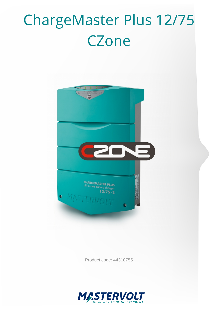# ChargeMaster Plus 12/75 **CZone**



Product code: 44310755

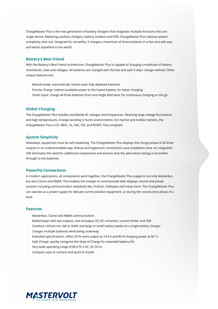ChargeMaster Plus is the next generation of battery chargers that integrates multiple functions into one single device. Replacing auxiliary chargers, battery isolators and VSR, ChargeMaster Plus reduces system complexity and cost. Designed for versatility, it charges a maximum of three batteries in a fast and safe way and works anywhere in the world.

#### **Battery's Best Friend**

With the Battery's Best Friend architecture, ChargeMaster Plus is capable of charging a multitude of battery chemistries, sizes and voltages. All batteries are charged with the fast and safe 3-step+ charge method. Other unique features are:

- · Revival mode: automatically revives even fully depleted batteries.
- · Priority Charge: redirect available power to the lowest battery, for faster charging.
- · Smart Input: charge all three batteries from one single alternator for continuous charging on the go.

#### **Global Charging**

The ChargeMaster Plus handles worldwide AC voltages and frequencies. Resisting large voltage fluctuations and high temperatures, it keeps working in harsh environments. For marine and mobile markets, the ChargeMaster Plus is CE, ABYC, UL, SAE, CEC and RCM/C-Tick compliant.

#### **System Simplicity**

Nowadays, equipment must be self-explaining. The ChargeMaster Plus displays the charge phase of all three outputs in an understandable way. Robust and ergonomic connections save installation time. An integrated VSR eliminates the need for additional components and ensures that the alternators energy is funnelled through to the batteries.

### **Powerful Connections**

In modern applications, all components work together, the ChargeMaster Plus supports not only MasterBus but also CZone and NMEA. This enables the charger to communicate with displays, shunts and power systems including communication standards like, FireCan, CANopen and many more. The ChargeMaster Plus can operate as a power supply for delicate communication equipment, or during the construction phase of a boat.

#### **Features**

- · MasterBus, CZone and NMEA communication.
- · Multicharger with two outputs, one in/output, DC-DC converter, current limiter and VSR.
- · Combine Lithium Ion, Gel or AGM, and large or small battery banks on a single battery charger.
- · Charges multiple batteries while being underway.
- · Extended specifications: offers 20 % more output at 14.4 V and 80 % charging power at 60 °C.
- · Safe Charge: quickly recognize the State of Charge for extended battery life.
- · Very wide operating range of 80-275 V AC, 35-70 Hz.
- · Compact, easy to connect and quick to install.